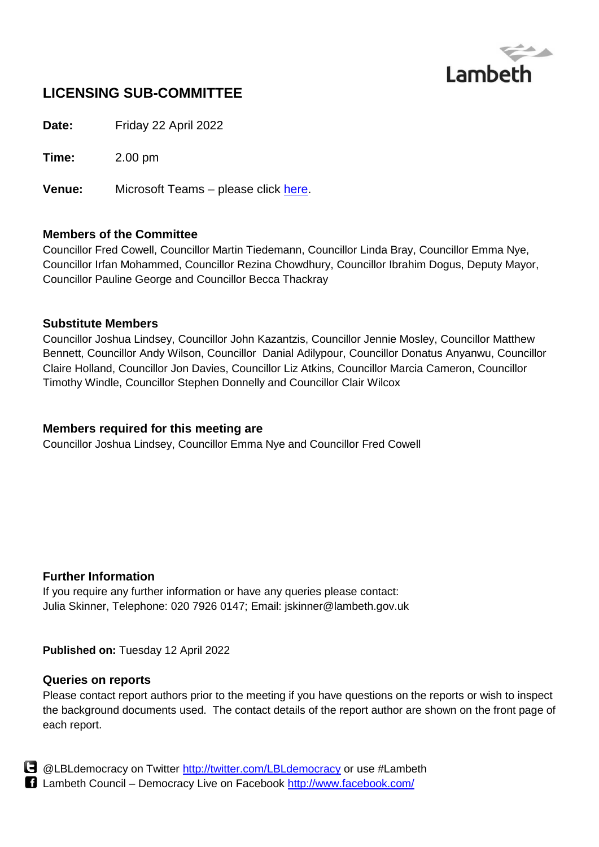

# **LICENSING SUB-COMMITTEE**

**Date:** Friday 22 April 2022

**Time:** 2.00 pm

**Venue:** Microsoft Teams – please click [here.](https://teams.microsoft.com/l/meetup-join/19%3ameeting_MTMyYTI4NTctM2I4MS00OWM1LTlkZmEtYmRjOTc0ZTJjY2U3%40thread.v2/0?context=%7b%22Tid%22%3a%22c4f22780-485f-4507-af4a-60a971d6f7fe%22%2c%22Oid%22%3a%22d71c4aaa-8845-4aec-9991-c95116436e4f%22%2c%22IsBroadcastMeeting%22%3atrue%7d&btype=a&role=a)

#### **Members of the Committee**

Councillor Fred Cowell, Councillor Martin Tiedemann, Councillor Linda Bray, Councillor Emma Nye, Councillor Irfan Mohammed, Councillor Rezina Chowdhury, Councillor Ibrahim Dogus, Deputy Mayor, Councillor Pauline George and Councillor Becca Thackray

#### **Substitute Members**

Councillor Joshua Lindsey, Councillor John Kazantzis, Councillor Jennie Mosley, Councillor Matthew Bennett, Councillor Andy Wilson, Councillor Danial Adilypour, Councillor Donatus Anyanwu, Councillor Claire Holland, Councillor Jon Davies, Councillor Liz Atkins, Councillor Marcia Cameron, Councillor Timothy Windle, Councillor Stephen Donnelly and Councillor Clair Wilcox

#### **Members required for this meeting are**

Councillor Joshua Lindsey, Councillor Emma Nye and Councillor Fred Cowell

#### **Further Information**

If you require any further information or have any queries please contact: Julia Skinner, Telephone: 020 7926 0147; Email: jskinner@lambeth.gov.uk

**Published on:** Tuesday 12 April 2022

#### **Queries on reports**

Please contact report authors prior to the meeting if you have questions on the reports or wish to inspect the background documents used. The contact details of the report author are shown on the front page of each report.



**B** @LBLdemocracy on Twitter<http://twitter.com/LBLdemocracy> or use #Lambeth Lambeth Council – Democracy Live on Facebook<http://www.facebook.com/>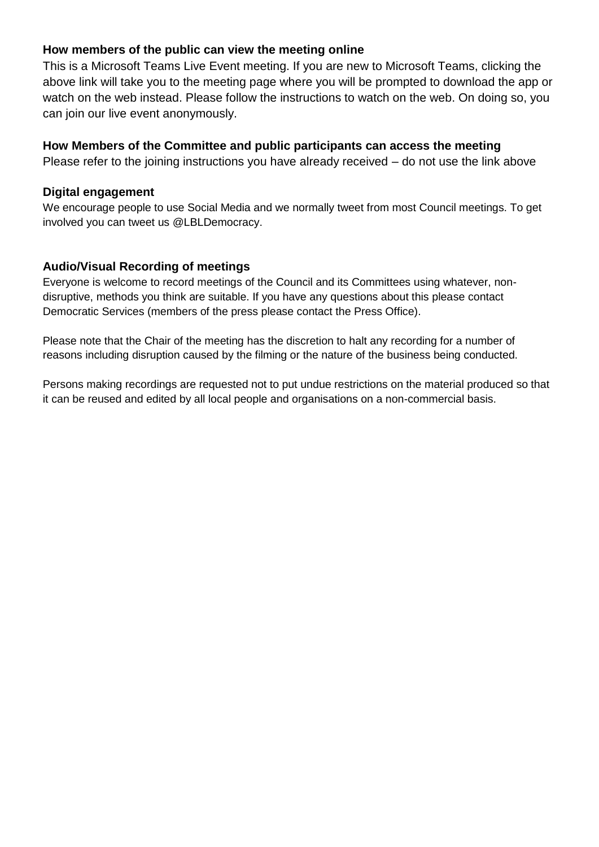### **How members of the public can view the meeting online**

This is a Microsoft Teams Live Event meeting. If you are new to Microsoft Teams, clicking the above link will take you to the meeting page where you will be prompted to download the app or watch on the web instead. Please follow the instructions to watch on the web. On doing so, you can join our live event anonymously.

## **How Members of the Committee and public participants can access the meeting**

Please refer to the joining instructions you have already received – do not use the link above

#### **Digital engagement**

We encourage people to use Social Media and we normally tweet from most Council meetings. To get involved you can tweet us @LBLDemocracy.

## **Audio/Visual Recording of meetings**

Everyone is welcome to record meetings of the Council and its Committees using whatever, nondisruptive, methods you think are suitable. If you have any questions about this please contact Democratic Services (members of the press please contact the Press Office).

Please note that the Chair of the meeting has the discretion to halt any recording for a number of reasons including disruption caused by the filming or the nature of the business being conducted.

Persons making recordings are requested not to put undue restrictions on the material produced so that it can be reused and edited by all local people and organisations on a non-commercial basis.